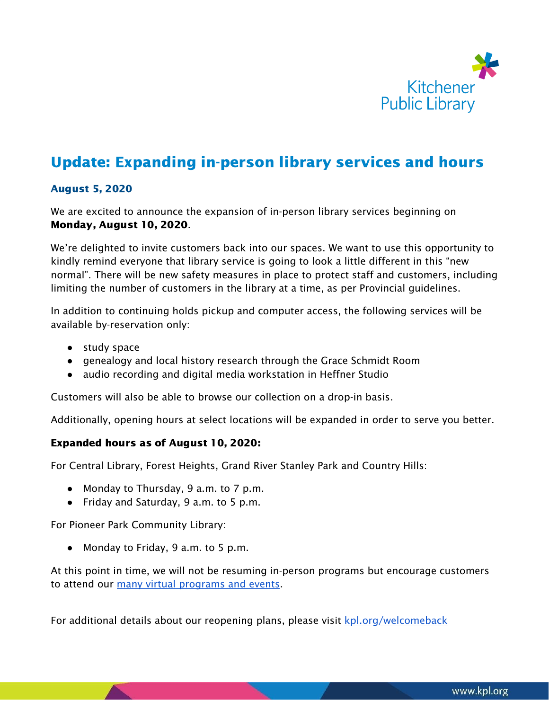

## Update: Expanding in-person library services and hours

## August 5, 2020

We are excited to announce the expansion of in-person library services beginning on Monday, August 10, 2020.

We're delighted to invite customers back into our spaces. We want to use this opportunity to kindly remind everyone that library service is going to look a little different in this "new normal". There will be new safety measures in place to protect staff and customers, including limiting the number of customers in the library at a time, as per Provincial guidelines.

In addition to continuing holds pickup and computer access, the following services will be available by-reservation only:

- study space
- genealogy and local history research through the Grace Schmidt Room
- audio recording and digital media workstation in Heffner Studio

Customers will also be able to browse our collection on a drop-in basis.

Additionally, opening hours at select locations will be expanded in order to serve you better.

## Expanded hours as of August 10, 2020:

For Central Library, Forest Heights, Grand River Stanley Park and Country Hills:

- Monday to Thursday, 9 a.m. to 7 p.m.
- Friday and Saturday, 9 a.m. to 5 p.m.

For Pioneer Park Community Library:

● Monday to Friday, 9 a.m. to 5 p.m.

At this point in time, we will not be resuming in-person programs but encourage customers to attend our many virtual [programs](http://kpl.org/signup) and events.

For additional details about our reopening plans, please visit [kpl.org/welcomeback](http://kpl.org/welcomeback)